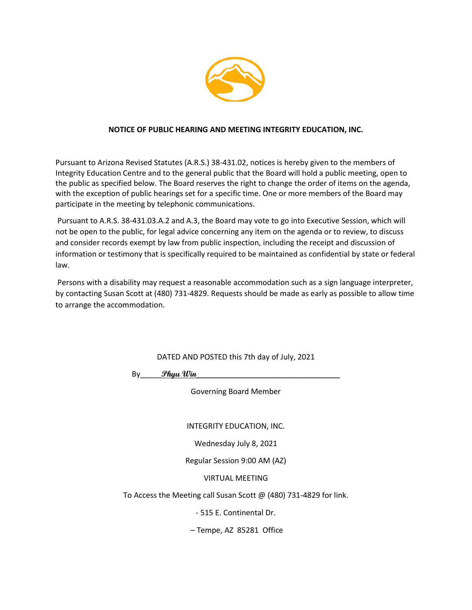

### **NOTICE OF PUBLIC HEARING AND MEETING INTEGRITY EDUCATION, INC.**

Pursuant to Arizona Revised Statutes (A.R.S.) 38-431.02, notices is hereby given to the members of Integrity Education Centre and to the general public that the Board will hold a public meeting, open to the public as specified below. The Board reserves the right to change the order of items on the agenda, with the exception of public hearings set for a specific time. One or more members of the Board may participate in the meeting by telephonic communications.

Pursuant to A.R.S. 38-431.03.A.2 and A.3, the Board may vote to go into Executive Session, which will not be open to the public, for legal advice concerning any item on the agenda or to review, to discuss and consider records exempt by law from public inspection, including the receipt and discussion of information or testimony that is specifically required to be maintained as confidential by state or federal law.

Persons with a disability may request a reasonable accommodation such as a sign language interpreter, by contacting Susan Scott at (480) 731-4829. Requests should be made as early as possible to allow time to arrange the accommodation.

DATED AND POSTED this 7th day of July, 2021

By\_\_\_\_\_**Phyu Win**\_\_\_\_\_\_\_\_\_\_\_\_\_\_\_\_\_\_\_\_\_\_\_\_\_\_\_\_\_\_\_\_\_\_

Governing Board Member

INTEGRITY EDUCATION, INC.

Wednesday July 8, 2021

Regular Session 9:00 AM (AZ)

VIRTUAL MEETING

To Access the Meeting call Susan Scott @ (480) 731-4829 for link.

- 515 E. Continental Dr.

– Tempe, AZ 85281 Office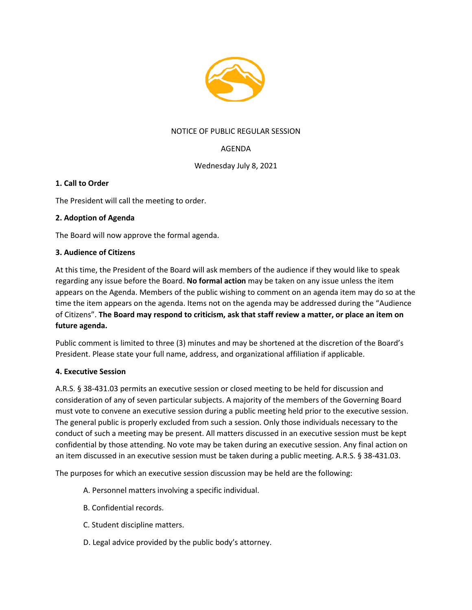

## NOTICE OF PUBLIC REGULAR SESSION

# AGENDA

### Wednesday July 8, 2021

### **1. Call to Order**

The President will call the meeting to order.

### **2. Adoption of Agenda**

The Board will now approve the formal agenda.

### **3. Audience of Citizens**

At this time, the President of the Board will ask members of the audience if they would like to speak regarding any issue before the Board. **No formal action** may be taken on any issue unless the item appears on the Agenda. Members of the public wishing to comment on an agenda item may do so at the time the item appears on the agenda. Items not on the agenda may be addressed during the "Audience of Citizens". **The Board may respond to criticism, ask that staff review a matter, or place an item on future agenda.**

Public comment is limited to three (3) minutes and may be shortened at the discretion of the Board's President. Please state your full name, address, and organizational affiliation if applicable.

### **4. Executive Session**

A.R.S. § 38-431.03 permits an executive session or closed meeting to be held for discussion and consideration of any of seven particular subjects. A majority of the members of the Governing Board must vote to convene an executive session during a public meeting held prior to the executive session. The general public is properly excluded from such a session. Only those individuals necessary to the conduct of such a meeting may be present. All matters discussed in an executive session must be kept confidential by those attending. No vote may be taken during an executive session. Any final action on an item discussed in an executive session must be taken during a public meeting. A.R.S. § 38-431.03.

The purposes for which an executive session discussion may be held are the following:

- A. Personnel matters involving a specific individual.
- B. Confidential records.
- C. Student discipline matters.
- D. Legal advice provided by the public body's attorney.